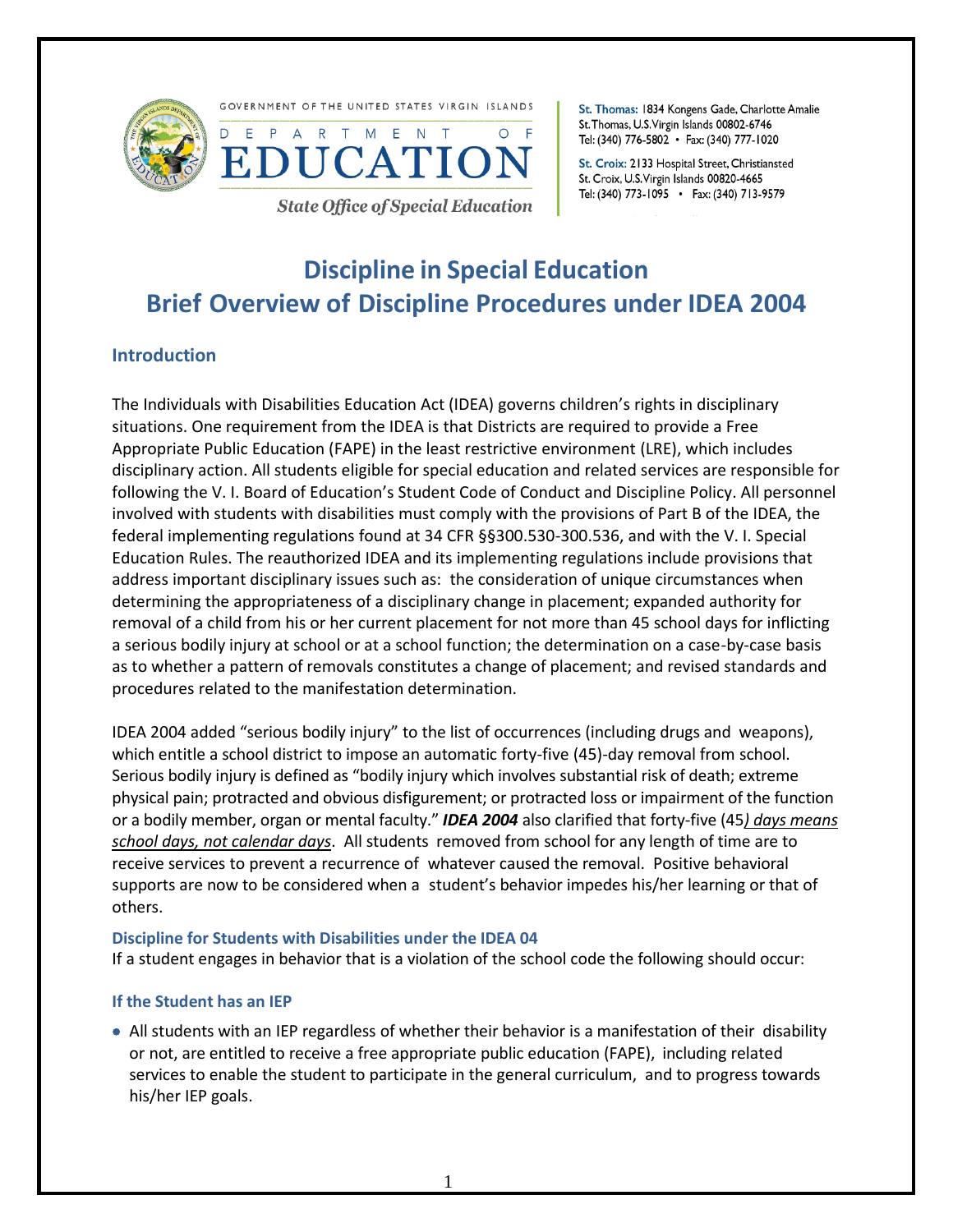



**State Office of Special Education** 

St. Thomas: 1834 Kongens Gade, Charlotte Amalie St. Thomas, U.S. Virgin Islands 00802-6746 Tel: (340) 776-5802 • Fax: (340) 777-1020

St. Croix: 2133 Hospital Street, Christiansted St. Croix, U.S. Virgin Islands 00820-4665 Tel: (340) 773-1095 • Fax: (340) 713-9579

# **Discipline in Special Education Brief Overview of Discipline Procedures under IDEA 2004**

# **Introduction**

The Individuals with Disabilities Education Act (IDEA) governs children's rights in disciplinary situations. One requirement from the IDEA is that Districts are required to provide a Free Appropriate Public Education (FAPE) in the least restrictive environment (LRE), which includes disciplinary action. All students eligible for special education and related services are responsible for following the V. I. Board of Education's Student Code of Conduct and Discipline Policy. All personnel involved with students with disabilities must comply with the provisions of Part B of the IDEA, the federal implementing regulations found at 34 CFR §§300.530-300.536, and with the V. I. Special Education Rules. The reauthorized IDEA and its implementing regulations include provisions that address important disciplinary issues such as: the consideration of unique circumstances when determining the appropriateness of a disciplinary change in placement; expanded authority for removal of a child from his or her current placement for not more than 45 school days for inflicting a serious bodily injury at school or at a school function; the determination on a case-by-case basis as to whether a pattern of removals constitutes a change of placement; and revised standards and procedures related to the manifestation determination.

IDEA 2004 added "serious bodily injury" to the list of occurrences (including drugs and weapons), which entitle a school district to impose an automatic forty-five (45)-day removal from school. Serious bodily injury is defined as "bodily injury which involves substantial risk of death; extreme physical pain; protracted and obvious disfigurement; or protracted loss or impairment of the function or a bodily member, organ or mental faculty." *IDEA 2004* also clarified that forty-five (45*) days means school days, not calendar days*. All students removed from school for any length of time are to receive services to prevent a recurrence of whatever caused the removal. Positive behavioral supports are now to be considered when a student's behavior impedes his/her learning or that of others.

#### **Discipline for Students with Disabilities under the IDEA 04**

If a student engages in behavior that is a violation of the school code the following should occur:

# **If the Student has an IEP**

 All students with an IEP regardless of whether their behavior is a manifestation of their disability or not, are entitled to receive a free appropriate public education (FAPE), including related services to enable the student to participate in the general curriculum, and to progress towards his/her IEP goals.

1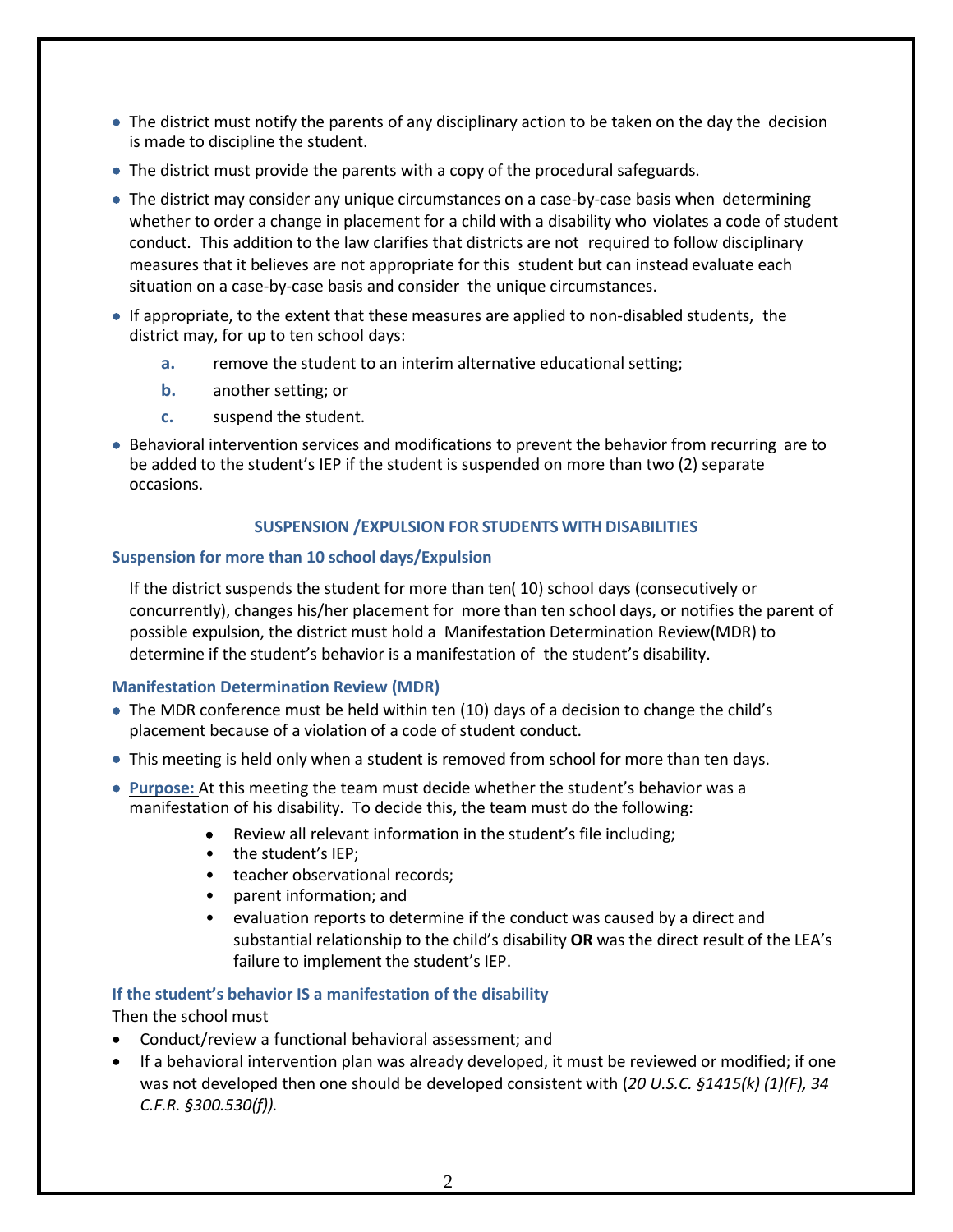- The district must notify the parents of any disciplinary action to be taken on the day the decision is made to discipline the student.
- The district must provide the parents with a copy of the procedural safeguards.
- The district may consider any unique circumstances on a case-by-case basis when determining whether to order a change in placement for a child with a disability who violates a code of student conduct. This addition to the law clarifies that districts are not required to follow disciplinary measures that it believes are not appropriate for this student but can instead evaluate each situation on a case-by-case basis and consider the unique circumstances.
- If appropriate, to the extent that these measures are applied to non-disabled students, the district may, for up to ten school days:
	- **a.** remove the student to an interim alternative educational setting;
	- **b.** another setting; or
	- **c.** suspend the student.
- Behavioral intervention services and modifications to prevent the behavior from recurring are to be added to the student's IEP if the student is suspended on more than two (2) separate occasions.

#### **SUSPENSION /EXPULSION FOR STUDENTS WITH DISABILITIES**

#### **Suspension for more than 10 school days/Expulsion**

If the district suspends the student for more than ten( 10) school days (consecutively or concurrently), changes his/her placement for more than ten school days, or notifies the parent of possible expulsion, the district must hold a Manifestation Determination Review(MDR) to determine if the student's behavior is a manifestation of the student's disability.

# **Manifestation Determination Review (MDR)**

- The MDR conference must be held within ten (10) days of a decision to change the child's placement because of a violation of a code of student conduct.
- This meeting is held only when a student is removed from school for more than ten days.
- **Purpose:** At this meeting the team must decide whether the student's behavior was a manifestation of his disability. To decide this, the team must do the following:
	- Review all relevant information in the student's file including;
	- the student's IEP:
	- teacher observational records;
	- parent information; and
	- evaluation reports to determine if the conduct was caused by a direct and substantial relationship to the child's disability **OR** was the direct result of the LEA's failure to implement the student's IEP.

# **If the student's behavior IS a manifestation of the disability**

#### Then the school must

- Conduct/review a functional behavioral assessment; and
- If a behavioral intervention plan was already developed, it must be reviewed or modified; if one was not developed then one should be developed consistent with (*20 U.S.C. §1415(k) (1)(F), 34 C.F.R. §300.530(f)).*